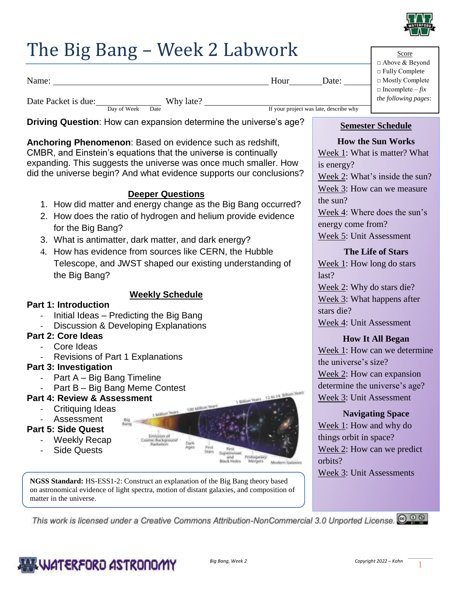

Score □ Above & Beyond □ Fully Complete □ Mostly Complete  $\Box$  Incomplete –  $fix$ *the following pages*:

# The Big Bang – Week 2 Labwork

| <b>NT</b><br>Name: | Hour | 'ale: |
|--------------------|------|-------|
|                    |      |       |

Date Packet is due: <u>Day of Week Date</u> Why late?

**Driving Question**: How can expansion determine the universe's age?

**Anchoring Phenomenon**: Based on evidence such as redshift, CMBR, and Einstein's equations that the universe is continually expanding. This suggests the universe was once much smaller. How did the universe begin? And what evidence supports our conclusions?

### **Deeper Questions**

- 1. How did matter and energy change as the Big Bang occurred?
- 2. How does the ratio of hydrogen and helium provide evidence for the Big Bang?
- 3. What is antimatter, dark matter, and dark energy?
- 4. How has evidence from sources like CERN, the Hubble Telescope, and JWST shaped our existing understanding of the Big Bang?

### **Weekly Schedule**

### **Part 1: Introduction**

- Initial Ideas Predicting the Big Bang
- Discussion & Developing Explanations

### **Part 2: Core Ideas**

- Core Ideas
- Revisions of Part 1 Explanations

### **Part 3: Investigation**

- Part  $A Big Bang$  Timeline
- Part B Big Bang Meme Contest
- **Part 4: Review & Assessment**
	- Critiquing Ideas
	- Assessment
- **Part 5: Side Quest** 
	- Weekly Recap
		- Side Quests



**NGSS Standard:** HS-ESS1-2: Construct an explanation of the Big Bang theory based on astronomical evidence of light spectra, motion of distant galaxies, and composition of matter in the universe.

Coure

This work is licensed under a Creative Commons Attribution-NonCommercial 3.0 Unported License. @ 0 0

### **Semester Schedule**

### **How the Sun Works**

Week 1: What is matter? What is energy?

Week 2: What's inside the sun? Week 3: How can we measure

the sun?

If your project was late, describe why

Week 4: Where does the sun's energy come from? Week 5: Unit Assessment

### **The Life of Stars**

Week 1: How long do stars last?

Week 2: Why do stars die?

Week 3: What happens after stars die?

Week 4: Unit Assessment

### **How It All Began**

Week 1: How can we determine the universe's size? Week 2: How can expansion determine the universe's age? Week 3: Unit Assessment

### **Navigating Space**

Week 1: How and why do things orbit in space? Week 2: How can we predict orbits?

Week 3: Unit Assessments

100 Mil

Modern Galaxies

12.10.14 Billio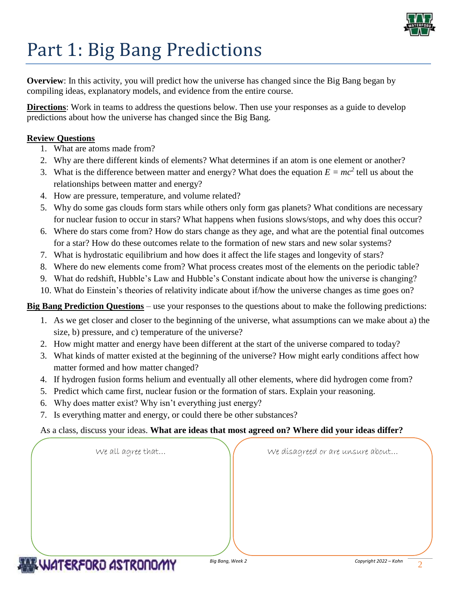

# Part 1: Big Bang Predictions

**Overview**: In this activity, you will predict how the universe has changed since the Big Bang began by compiling ideas, explanatory models, and evidence from the entire course.

**Directions**: Work in teams to address the questions below. Then use your responses as a guide to develop predictions about how the universe has changed since the Big Bang.

#### **Review Questions**

- 1. What are atoms made from?
- 2. Why are there different kinds of elements? What determines if an atom is one element or another?
- 3. What is the difference between matter and energy? What does the equation  $E = mc^2$  tell us about the relationships between matter and energy?
- 4. How are pressure, temperature, and volume related?
- 5. Why do some gas clouds form stars while others only form gas planets? What conditions are necessary for nuclear fusion to occur in stars? What happens when fusions slows/stops, and why does this occur?
- 6. Where do stars come from? How do stars change as they age, and what are the potential final outcomes for a star? How do these outcomes relate to the formation of new stars and new solar systems?
- 7. What is hydrostatic equilibrium and how does it affect the life stages and longevity of stars?
- 8. Where do new elements come from? What process creates most of the elements on the periodic table?
- 9. What do redshift, Hubble's Law and Hubble's Constant indicate about how the universe is changing?
- 10. What do Einstein's theories of relativity indicate about if/how the universe changes as time goes on?

**Big Bang Prediction Questions** – use your responses to the questions about to make the following predictions:

- 1. As we get closer and closer to the beginning of the universe, what assumptions can we make about a) the size, b) pressure, and c) temperature of the universe?
- 2. How might matter and energy have been different at the start of the universe compared to today?
- 3. What kinds of matter existed at the beginning of the universe? How might early conditions affect how matter formed and how matter changed?
- 4. If hydrogen fusion forms helium and eventually all other elements, where did hydrogen come from?
- 5. Predict which came first, nuclear fusion or the formation of stars. Explain your reasoning.
- 6. Why does matter exist? Why isn't everything just energy?
- 7. Is everything matter and energy, or could there be other substances?

#### As a class, discuss your ideas. **What are ideas that most agreed on? Where did your ideas differ?**

| 'ERFORO ASTRONOMY | Big Bang, Week 2 | Copyright 2022 - Kohn            |  |
|-------------------|------------------|----------------------------------|--|
|                   |                  |                                  |  |
|                   |                  |                                  |  |
|                   |                  |                                  |  |
|                   |                  |                                  |  |
| We all agree that |                  | We disagreed or are unsure about |  |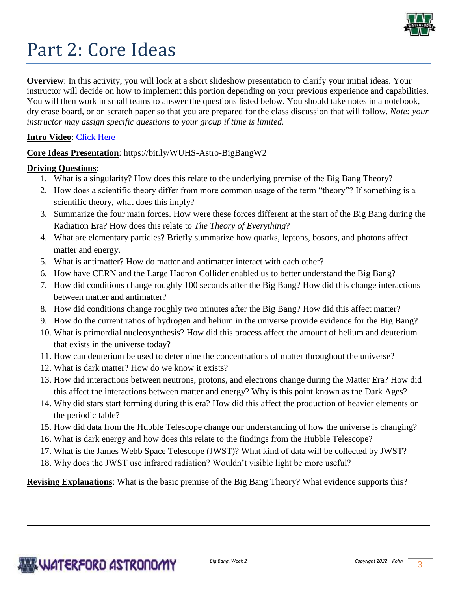

# Part 2: Core Ideas

**Overview**: In this activity, you will look at a short slideshow presentation to clarify your initial ideas. Your instructor will decide on how to implement this portion depending on your previous experience and capabilities. You will then work in small teams to answer the questions listed below. You should take notes in a notebook, dry erase board, or on scratch paper so that you are prepared for the class discussion that will follow. *Note: your instructor may assign specific questions to your group if time is limited.* 

#### **Intro Video**: [Click Here](https://www.youtube-nocookie.com/embed/xtrYF_hxxUM?playlist=xtrYF_hxxUM&autoplay=1&iv_load_policy=3&loop=1&modestbranding=1&start=)

**Core Ideas Presentation**: https://bit.ly/WUHS-Astro-BigBangW2

#### **Driving Questions**:

- 1. What is a singularity? How does this relate to the underlying premise of the Big Bang Theory?
- 2. How does a scientific theory differ from more common usage of the term "theory"? If something is a scientific theory, what does this imply?
- 3. Summarize the four main forces. How were these forces different at the start of the Big Bang during the Radiation Era? How does this relate to *The Theory of Everything*?
- 4. What are elementary particles? Briefly summarize how quarks, leptons, bosons, and photons affect matter and energy.
- 5. What is antimatter? How do matter and antimatter interact with each other?
- 6. How have CERN and the Large Hadron Collider enabled us to better understand the Big Bang?
- 7. How did conditions change roughly 100 seconds after the Big Bang? How did this change interactions between matter and antimatter?
- 8. How did conditions change roughly two minutes after the Big Bang? How did this affect matter?
- 9. How do the current ratios of hydrogen and helium in the universe provide evidence for the Big Bang?
- 10. What is primordial nucleosynthesis? How did this process affect the amount of helium and deuterium that exists in the universe today?
- 11. How can deuterium be used to determine the concentrations of matter throughout the universe?
- 12. What is dark matter? How do we know it exists?
- 13. How did interactions between neutrons, protons, and electrons change during the Matter Era? How did this affect the interactions between matter and energy? Why is this point known as the Dark Ages?
- 14. Why did stars start forming during this era? How did this affect the production of heavier elements on the periodic table?
- 15. How did data from the Hubble Telescope change our understanding of how the universe is changing?
- 16. What is dark energy and how does this relate to the findings from the Hubble Telescope?
- 17. What is the James Webb Space Telescope (JWST)? What kind of data will be collected by JWST?
- 18. Why does the JWST use infrared radiation? Wouldn't visible light be more useful?

**Revising Explanations**: What is the basic premise of the Big Bang Theory? What evidence supports this?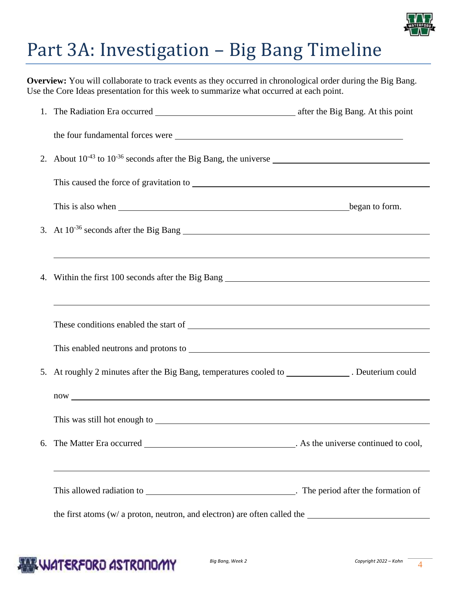

# Part 3A: Investigation – Big Bang Timeline

**Overview:** You will collaborate to track events as they occurred in chronological order during the Big Bang. Use the Core Ideas presentation for this week to summarize what occurred at each point.

| the four fundamental forces were                                                                  |  |
|---------------------------------------------------------------------------------------------------|--|
|                                                                                                   |  |
|                                                                                                   |  |
|                                                                                                   |  |
|                                                                                                   |  |
| ,我们也不会有什么。""我们的人,我们也不会有什么?""我们的人,我们也不会有什么?""我们的人,我们也不会有什么?""我们的人,我们也不会有什么?""我们的人                  |  |
|                                                                                                   |  |
| ,我们也不会有什么。""我们的人,我们也不会有什么?""我们的人,我们也不会有什么?""我们的人,我们也不会有什么?""我们的人,我们也不会有什么?""我们的人                  |  |
|                                                                                                   |  |
|                                                                                                   |  |
| 5. At roughly 2 minutes after the Big Bang, temperatures cooled to _____________. Deuterium could |  |
|                                                                                                   |  |
|                                                                                                   |  |
|                                                                                                   |  |
|                                                                                                   |  |
|                                                                                                   |  |
| the first atoms (w/ a proton, neutron, and electron) are often called the                         |  |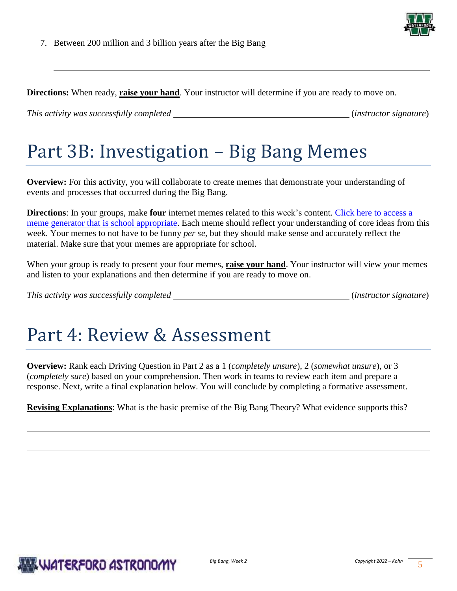

7. Between 200 million and 3 billion years after the Big Bang

**Directions:** When ready, **raise your hand**. Your instructor will determine if you are ready to move on.

*This activity was successfully completed* <u>(*instructor signature*)</u>

## Part 3B: Investigation – Big Bang Memes

**Overview:** For this activity, you will collaborate to create memes that demonstrate your understanding of events and processes that occurred during the Big Bang.

**Directions**: In your groups, make **four** internet memes related to this week's content. Click here to access a [meme generator that is school appropriate.](https://docs.google.com/drawings/d/1Jjbzb1wiIkUpU1gXxvzpLqut1UFi72_TzKaHZV8Bw0U/copy) Each meme should reflect your understanding of core ideas from this week. Your memes to not have to be funny *per se*, but they should make sense and accurately reflect the material. Make sure that your memes are appropriate for school.

When your group is ready to present your four memes, **raise your hand**. Your instructor will view your memes and listen to your explanations and then determine if you are ready to move on.

*This activity was successfully completed* (*instructor signature*)

### Part 4: Review & Assessment

**Overview:** Rank each Driving Question in Part 2 as a 1 (*completely unsure*), 2 (*somewhat unsure*), or 3 (*completely sure*) based on your comprehension. Then work in teams to review each item and prepare a response. Next, write a final explanation below. You will conclude by completing a formative assessment.

**Revising Explanations**: What is the basic premise of the Big Bang Theory? What evidence supports this?

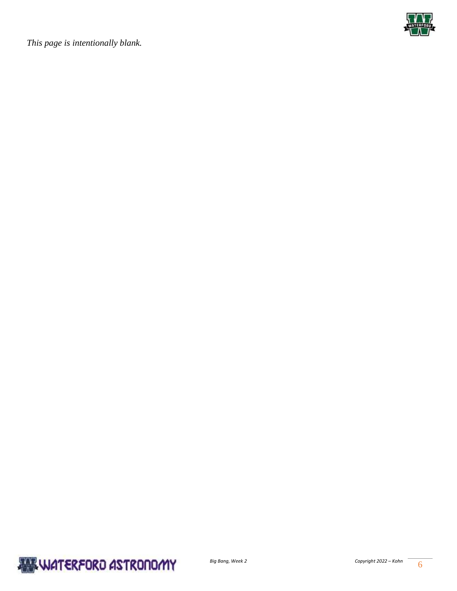

*This page is intentionally blank.* 

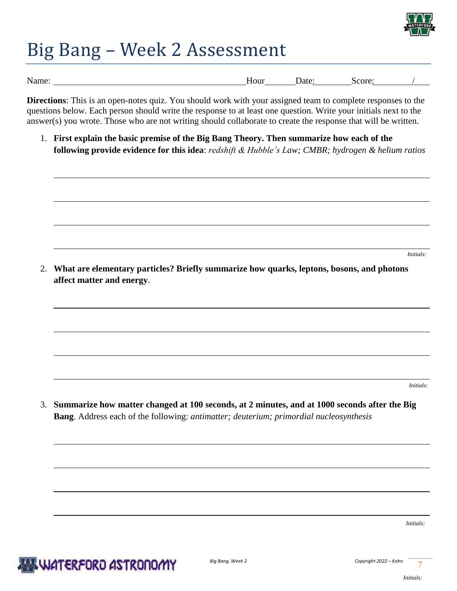

# Big Bang – Week 2 Assessment

| ำเ |       |      |      |                   |  |
|----|-------|------|------|-------------------|--|
|    | Name: | Hour | Jate | core <sup>.</sup> |  |

**Directions**: This is an open-notes quiz. You should work with your assigned team to complete responses to the questions below. Each person should write the response to at least one question. Write your initials next to the answer(s) you wrote. Those who are not writing should collaborate to create the response that will be written.

1. **First explain the basic premise of the Big Bang Theory. Then summarize how each of the following provide evidence for this idea**: *redshift & Hubble's Law; CMBR; hydrogen & helium ratios*

*Initials:* 

2. **What are elementary particles? Briefly summarize how quarks, leptons, bosons, and photons affect matter and energy**.

*Initials:* 

3. **Summarize how matter changed at 100 seconds, at 2 minutes, and at 1000 seconds after the Big Bang**. Address each of the following: *antimatter; deuterium; primordial nucleosynthesis*

*Initials:*